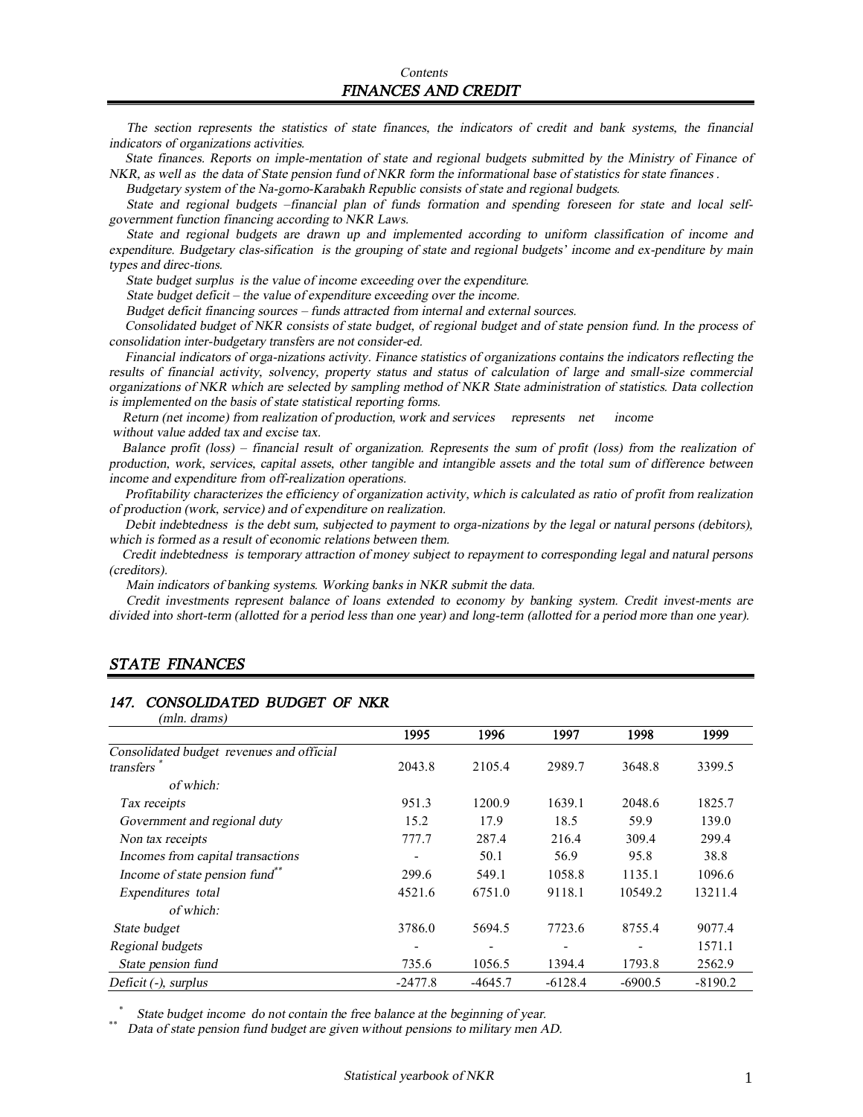The section represents the statistics of state finances, the indicators of credit and bank systems, the financial *indicators of organizations activities.* 

State finances. Reports on imple-mentation of state and regional budgets submitted by the Ministry of Finance of NKR, as well as the data of State pension fund of NKR form the informational base of statistics for state finances.

 *Budgetary system of the Na-gorno-Karabakh Republic consists of state and regional budgets.* 

State and regional budgets -financial plan of funds formation and spending foreseen for state and local self*government function financing according to NKR Laws.* 

*State and regional budgets are drawn up and implemented according to uniform classification of income and expenditure. Budgetary clas-sification is the grouping of state and regional budgets' income and ex-penditure by main types and direc-tions.* 

 *State budget surplus is the value of income exceeding over the expenditure.* 

*State budget deficit – the value of expenditure exceeding over the income.* 

 *Budget deficit financing sources – funds attracted from internal and external sources.* 

Consolidated budget of NKR consists of state budget, of regional budget and of state pension fund. In the process of *consolidation inter-budgetary transfers are not consider-ed.* 

 *Financial indicators of orga-nizations activity. Finance statistics of organizations contains the indicators reflecting the*  results of financial activity, solvency, property status and status of calculation of large and small-size commercial organizations of NKR which are selected by sampling method of NKR State administration of statistics. Data collection *is implemented on the basis of state statistical reporting forms.* 

 *Return (net income) from realization of production, work and services represents net income without value added tax and excise tax.* 

Balance profit (loss) – financial result of organization. Represents the sum of profit (loss) from the realization of production, work, services, capital assets, other tangible and intangible assets and the total sum of difference between *income and expenditure from off-realization operations.* 

Profitability characterizes the efficiency of organization activity, which is calculated as ratio of profit from realization *of production (work, service) and of expenditure on realization.* 

Debit indebtedness is the debt sum, subjected to payment to orga-nizations by the legal or natural persons (debitors), *which is formed as <sup>a</sup> result of economic relations between them.* 

 *Credit indebtedness is temporary attraction of money subject to repayment to corresponding legal and natural persons (creditors).* 

 *Main indicators of banking systems. Working banks in NKR submit the data.* 

*Credit investments represent balance of loans extended to economy by banking system. Credit invest-ments are*  divided into short-term (allotted for a period less than one year) and long-term (allotted for a period more than one year).

#### *STATE FINANCES*

#### *147. CONSOLIDATED BUDGET OF NKR*

| (mln. drams)                               |           |           |           |           |           |
|--------------------------------------------|-----------|-----------|-----------|-----------|-----------|
|                                            | 1995      | 1996      | 1997      | 1998      | 1999      |
| Consolidated budget revenues and official  |           |           |           |           |           |
| transfers                                  | 2043.8    | 2105.4    | 2989.7    | 3648.8    | 3399.5    |
| of which:                                  |           |           |           |           |           |
| Tax receipts                               | 951.3     | 1200.9    | 1639.1    | 2048.6    | 1825.7    |
| Government and regional duty               | 15.2      | 17.9      | 18.5      | 59.9      | 139.0     |
| Non tax receipts                           | 777.7     | 287.4     | 216.4     | 309.4     | 299.4     |
| Incomes from capital transactions          |           | 50.1      | 56.9      | 95.8      | 38.8      |
| Income of state pension fund <sup>**</sup> | 299.6     | 549.1     | 1058.8    | 1135.1    | 1096.6    |
| Expenditures total                         | 4521.6    | 6751.0    | 9118.1    | 10549.2   | 13211.4   |
| of which:                                  |           |           |           |           |           |
| State budget                               | 3786.0    | 5694.5    | 7723.6    | 8755.4    | 9077.4    |
| Regional budgets                           |           |           |           |           | 1571.1    |
| State pension fund                         | 735.6     | 1056.5    | 1394.4    | 1793.8    | 2562.9    |
| Deficit (-), surplus                       | $-2477.8$ | $-4645.7$ | $-6128.4$ | $-6900.5$ | $-8190.2$ |

\*  *State budget income do not contain the free balance at the beginning of year.* 

\*\* *Data of state pension fund budget are given without pensions to military men AD.*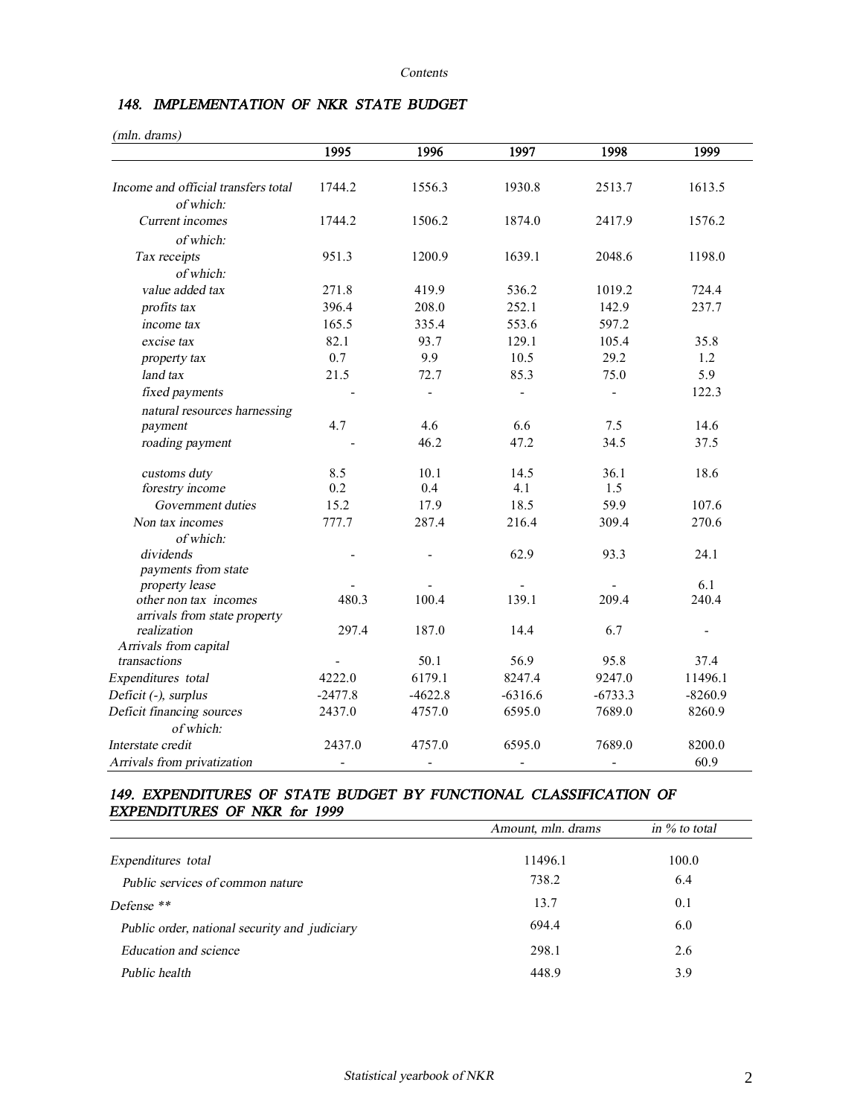# *148. IMPLEMENTATION OF NKR STATE BUDGET*

| (mln. drams)                                          | 1995      | 1996                     | 1997           | 1998           | 1999                     |
|-------------------------------------------------------|-----------|--------------------------|----------------|----------------|--------------------------|
|                                                       |           |                          |                |                |                          |
| Income and official transfers total<br>of which:      | 1744.2    | 1556.3                   | 1930.8         | 2513.7         | 1613.5                   |
| Current incomes                                       | 1744.2    | 1506.2                   | 1874.0         | 2417.9         | 1576.2                   |
| of which:                                             |           |                          |                |                |                          |
| Tax receipts                                          | 951.3     | 1200.9                   | 1639.1         | 2048.6         | 1198.0                   |
| of which:                                             |           |                          |                |                |                          |
| value added tax                                       | 271.8     | 419.9                    | 536.2          | 1019.2         | 724.4                    |
| profits tax                                           | 396.4     | 208.0                    | 252.1          | 142.9          | 237.7                    |
| income tax                                            | 165.5     | 335.4                    | 553.6          | 597.2          |                          |
| excise tax                                            | 82.1      | 93.7                     | 129.1          | 105.4          | 35.8                     |
| property tax                                          | 0.7       | 9.9                      | 10.5           | 29.2           | 1.2                      |
| land tax                                              | 21.5      | 72.7                     | 85.3           | 75.0           | 5.9                      |
| fixed payments                                        |           | $\overline{\phantom{0}}$ | $\blacksquare$ | $\blacksquare$ | 122.3                    |
| natural resources harnessing                          |           |                          |                |                |                          |
| payment                                               | 4.7       | 4.6                      | 6.6            | 7.5            | 14.6                     |
| roading payment                                       |           | 46.2                     | 47.2           | 34.5           | 37.5                     |
| customs duty                                          | 8.5       | 10.1                     | 14.5           | 36.1           | 18.6                     |
| forestry income                                       | 0.2       | 0.4                      | 4.1            | 1.5            |                          |
| Government duties                                     | 15.2      | 17.9                     | 18.5           | 59.9           | 107.6                    |
| Non tax incomes                                       | 777.7     | 287.4                    | 216.4          | 309.4          | 270.6                    |
| of which:                                             |           |                          |                |                |                          |
| dividends                                             |           |                          | 62.9           | 93.3           | 24.1                     |
| payments from state                                   |           |                          |                |                |                          |
| property lease                                        |           |                          |                |                | 6.1                      |
| other non tax incomes<br>arrivals from state property | 480.3     | 100.4                    | 139.1          | 209.4          | 240.4                    |
| realization                                           | 297.4     | 187.0                    | 14.4           | 6.7            | $\overline{\phantom{0}}$ |
| Arrivals from capital                                 |           |                          |                |                |                          |
| transactions                                          |           | 50.1                     | 56.9           | 95.8           | 37.4                     |
| Expenditures total                                    | 4222.0    | 6179.1                   | 8247.4         | 9247.0         | 11496.1                  |
| Deficit (-), surplus                                  | $-2477.8$ | $-4622.8$                | $-6316.6$      | $-6733.3$      | $-8260.9$                |
| Deficit financing sources                             | 2437.0    | 4757.0                   | 6595.0         | 7689.0         | 8260.9                   |
| of which:                                             |           |                          |                |                |                          |
| Interstate credit                                     | 2437.0    | 4757.0                   | 6595.0         | 7689.0         | 8200.0                   |
| Arrivals from privatization                           |           |                          |                |                | 60.9                     |

## *149. EXPENDITURES OF STATE BUDGET BY FUNCTIONAL CLASSIFICATION OF EXPENDITURES OF NKR for 1999*

|                                               | Amount, mln. drams | in $\%$ to total |
|-----------------------------------------------|--------------------|------------------|
| Expenditures total                            | 11496.1            | 100.0            |
| Public services of common nature              | 738.2              | 6.4              |
| Defense **                                    | 13.7               | 0.1              |
| Public order, national security and judiciary | 694.4              | 6.0              |
| Education and science                         | 298.1              | 2.6              |
| Public health                                 | 448.9              | 3.9              |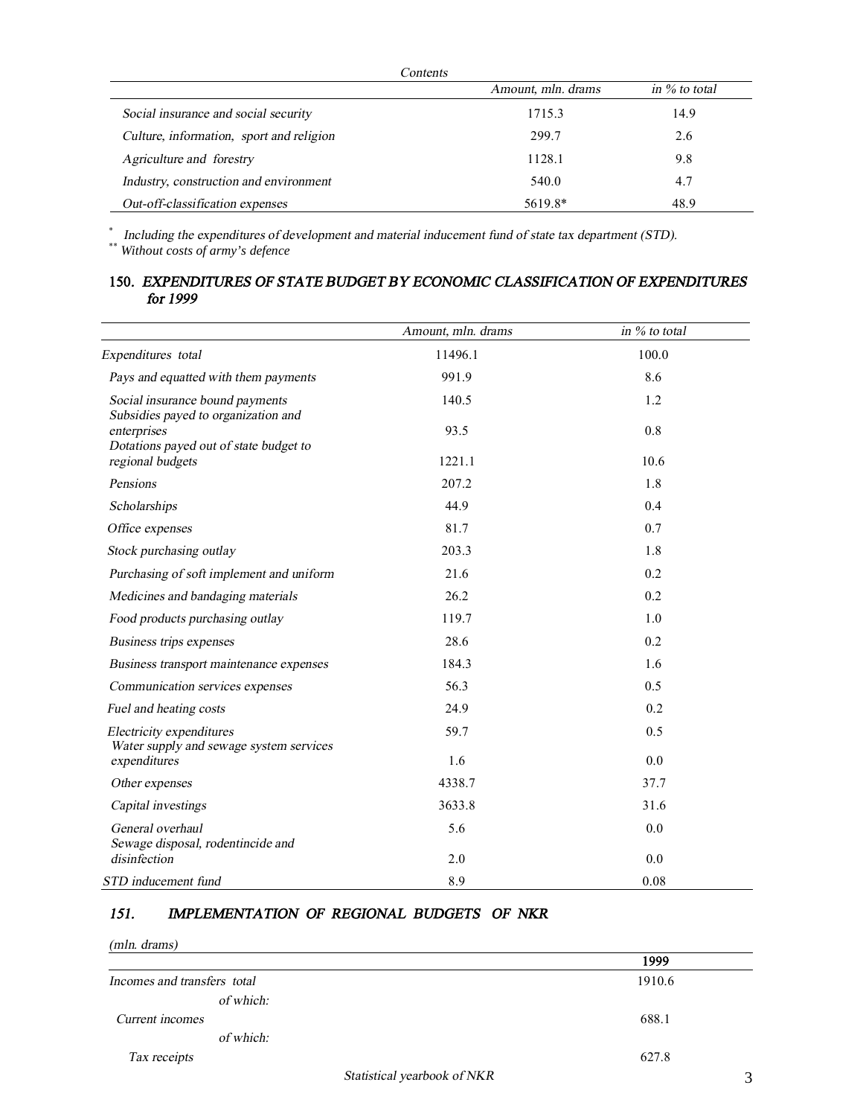| Contents                                 |                    |                  |
|------------------------------------------|--------------------|------------------|
|                                          | Amount, mln. drams | in $\%$ to total |
| Social insurance and social security     | 1715.3             | 14.9             |
| Culture, information, sport and religion | 299.7              | 2.6              |
| Agriculture and forestry                 | 1128.1             | 9.8              |
| Industry, construction and environment   | 540.0              | 4.7              |
| Out-off-classification expenses          | 5619.8*            | 48.9             |

\*  *Including the expenditures of development and material inducement fund of state tax department (STD).*  \*\* *Without costs of army's defence* 

## **150***. EXPENDITURES OF STATE BUDGET BY ECONOMIC CLASSIFICATION OF EXPENDITURES for 1999*

|                                                                        | Amount, mln. drams | in % to total |
|------------------------------------------------------------------------|--------------------|---------------|
| Expenditures total                                                     | 11496.1            | 100.0         |
| Pays and equatted with them payments                                   | 991.9              | 8.6           |
| Social insurance bound payments<br>Subsidies payed to organization and | 140.5              | 1.2           |
| enterprises<br>Dotations payed out of state budget to                  | 93.5               | 0.8           |
| regional budgets                                                       | 1221.1             | 10.6          |
| Pensions                                                               | 207.2              | 1.8           |
| Scholarships                                                           | 44.9               | 0.4           |
| Office expenses                                                        | 81.7               | 0.7           |
| Stock purchasing outlay                                                | 203.3              | 1.8           |
| Purchasing of soft implement and uniform                               | 21.6               | 0.2           |
| Medicines and bandaging materials                                      | 26.2               | 0.2           |
| Food products purchasing outlay                                        | 119.7              | 1.0           |
| Business trips expenses                                                | 28.6               | 0.2           |
| Business transport maintenance expenses                                | 184.3              | 1.6           |
| Communication services expenses                                        | 56.3               | 0.5           |
| Fuel and heating costs                                                 | 24.9               | 0.2           |
| Electricity expenditures<br>Water supply and sewage system services    | 59.7               | 0.5           |
| expenditures                                                           | 1.6                | 0.0           |
| Other expenses                                                         | 4338.7             | 37.7          |
| Capital investings                                                     | 3633.8             | 31.6          |
| General overhaul<br>Sewage disposal, rodentincide and                  | 5.6                | 0.0           |
| disinfection                                                           | 2.0                | 0.0           |
| STD inducement fund                                                    | 8.9                | 0.08          |

## *151. IMPLEMENTATION OF REGIONAL BUDGETS OF NKR*

*(mln. drams)* 

|                             | 1999   |
|-----------------------------|--------|
| Incomes and transfers total | 1910.6 |
| of which:                   |        |
| Current incomes             | 688.1  |
| of which:                   |        |
| Tax receipts                | 627.8  |
| Statistical yearbook of NKR | 3      |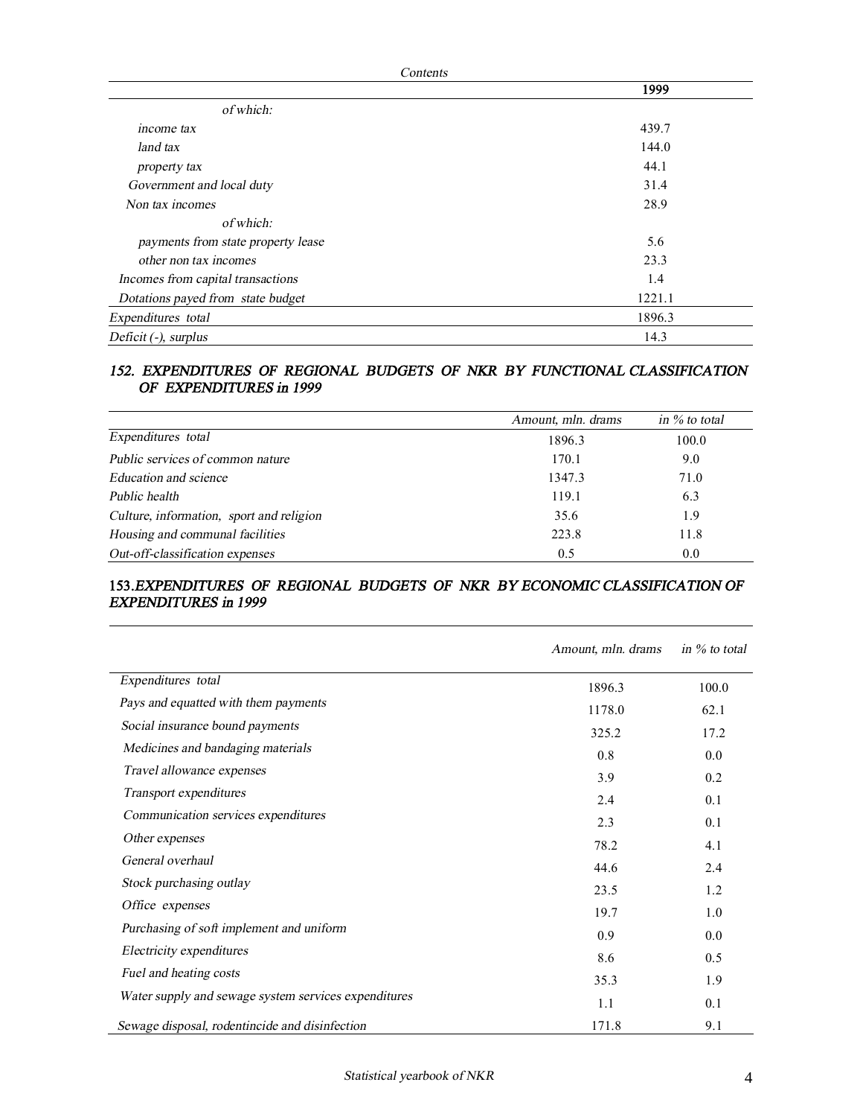| Contents                           |        |  |
|------------------------------------|--------|--|
|                                    | 1999   |  |
| of which:                          |        |  |
| income tax                         | 439.7  |  |
| land tax                           | 144.0  |  |
| property tax                       | 44.1   |  |
| Government and local duty          | 31.4   |  |
| Non tax incomes                    | 28.9   |  |
| of which:                          |        |  |
| payments from state property lease | 5.6    |  |
| other non tax incomes              | 23.3   |  |
| Incomes from capital transactions  | 1.4    |  |
| Dotations payed from state budget  | 1221.1 |  |
| Expenditures total                 | 1896.3 |  |
| Deficit (-), surplus               | 14.3   |  |

#### *152. EXPENDITURES OF REGIONAL BUDGETS OF NKR BY FUNCTIONAL CLASSIFICATION OF EXPENDITURES in 1999*

|                                          | Amount, mln. drams | in $\%$ to total |
|------------------------------------------|--------------------|------------------|
| Expenditures total                       | 1896.3             | 100.0            |
| Public services of common nature         | 170.1              | 9.0              |
| Education and science                    | 1347.3             | 71.0             |
| Public health                            | 119.1              | 6.3              |
| Culture, information, sport and religion | 35.6               | 1.9              |
| Housing and communal facilities          | 223.8              | 11.8             |
| Out-off-classification expenses          | 0.5                | 0.0              |

## **153.***EXPENDITURES OF REGIONAL BUDGETS OF NKR BY ECONOMIC CLASSIFICATION OF EXPENDITURES in 1999*

|                                                      | Amount, mln. drams | in $\%$ to total |
|------------------------------------------------------|--------------------|------------------|
| Expenditures total                                   | 1896.3             | 100.0            |
| Pays and equatted with them payments                 | 1178.0             | 62.1             |
| Social insurance bound payments                      | 325.2              | 17.2             |
| Medicines and bandaging materials                    | 0.8                | 0.0              |
| Travel allowance expenses                            | 3.9                | 0.2              |
| Transport expenditures                               | 2.4                | 0.1              |
| Communication services expenditures                  | 2.3                | 0.1              |
| Other expenses                                       | 78.2               | 4.1              |
| General overhaul                                     | 44.6               | 2.4              |
| Stock purchasing outlay                              | 23.5               | 1.2              |
| Office expenses                                      | 19.7               | 1.0              |
| Purchasing of soft implement and uniform             | 0.9                | 0.0              |
| Electricity expenditures                             | 8.6                | 0.5              |
| Fuel and heating costs                               | 35.3               | 1.9              |
| Water supply and sewage system services expenditures | 1.1                | 0.1              |
| Sewage disposal, rodentincide and disinfection       | 171.8              | 9.1              |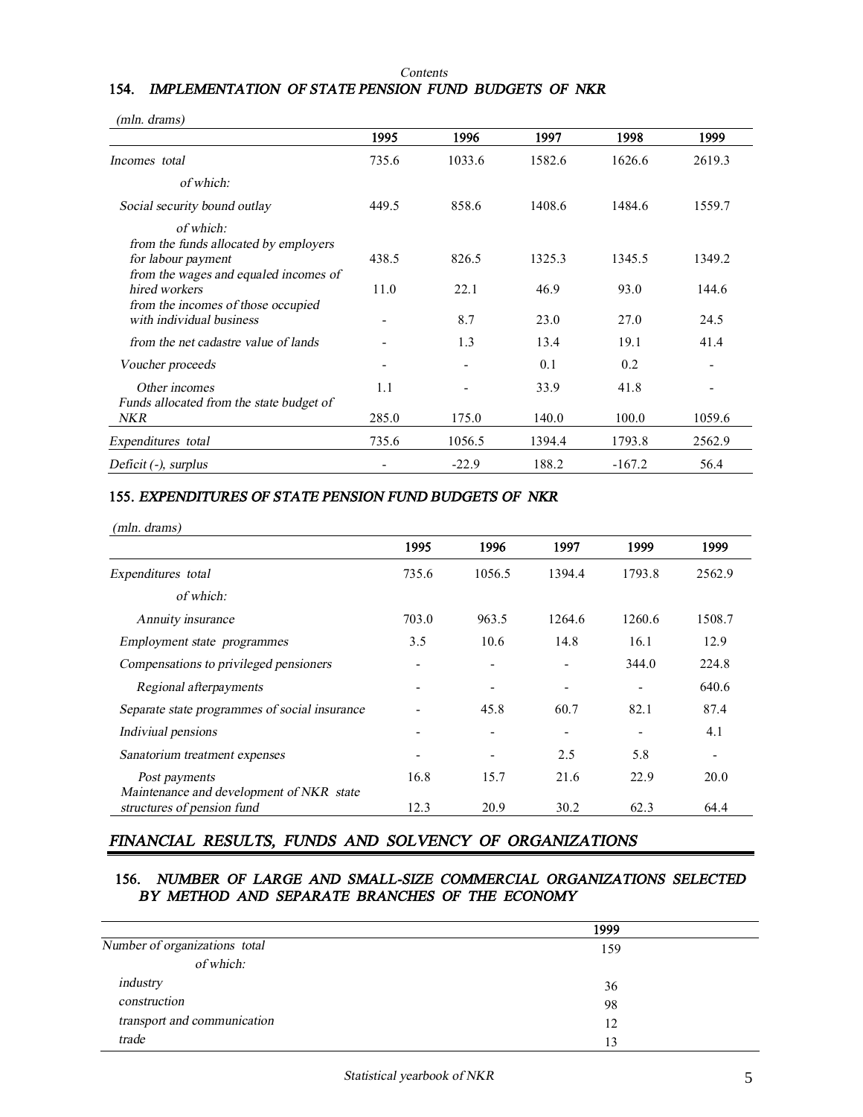#### *Contents* **154.** *IMPLEMENTATION OF STATE PENSION FUND BUDGETS OF NKR*

| (mln. drams)                                                                                                      |       |         |        |          |        |
|-------------------------------------------------------------------------------------------------------------------|-------|---------|--------|----------|--------|
|                                                                                                                   | 1995  | 1996    | 1997   | 1998     | 1999   |
| Incomes total                                                                                                     | 735.6 | 1033.6  | 1582.6 | 1626.6   | 2619.3 |
| of which:                                                                                                         |       |         |        |          |        |
| Social security bound outlay                                                                                      | 449.5 | 858.6   | 1408.6 | 1484.6   | 1559.7 |
| of which:<br>from the funds allocated by employers<br>for labour payment<br>from the wages and equaled incomes of | 438.5 | 826.5   | 1325.3 | 1345.5   | 1349.2 |
| hired workers<br>from the incomes of those occupied                                                               | 11.0  | 22.1    | 46.9   | 93.0     | 144.6  |
| with individual business                                                                                          |       | 8.7     | 23.0   | 27.0     | 24.5   |
| from the net cadastre value of lands                                                                              |       | 1.3     | 13.4   | 19.1     | 41.4   |
| Voucher proceeds                                                                                                  | -     | -       | 0.1    | 0.2      | ۰      |
| Other incomes<br>Funds allocated from the state budget of                                                         | 1.1   |         | 33.9   | 41.8     |        |
| NKR                                                                                                               | 285.0 | 175.0   | 140.0  | 100.0    | 1059.6 |
| Expenditures total                                                                                                | 735.6 | 1056.5  | 1394.4 | 1793.8   | 2562.9 |
| Deficit (-), surplus                                                                                              | -     | $-22.9$ | 188.2  | $-167.2$ | 56.4   |

## **155.** *EXPENDITURES OF STATE PENSION FUND BUDGETS OF NKR*

| $(mln.$ drams)                                                         |       |        |        |        |        |
|------------------------------------------------------------------------|-------|--------|--------|--------|--------|
|                                                                        | 1995  | 1996   | 1997   | 1999   | 1999   |
| Expenditures total                                                     | 735.6 | 1056.5 | 1394.4 | 1793.8 | 2562.9 |
| of which:                                                              |       |        |        |        |        |
| Annuity insurance                                                      | 703.0 | 963.5  | 1264.6 | 1260.6 | 1508.7 |
| Employment state programmes                                            | 3.5   | 10.6   | 14.8   | 16.1   | 12.9   |
| Compensations to privileged pensioners                                 |       |        |        | 344.0  | 224.8  |
| Regional afterpayments                                                 |       |        |        |        | 640.6  |
| Separate state programmes of social insurance                          |       | 45.8   | 60.7   | 82.1   | 87.4   |
| Indiviual pensions                                                     | ۰     |        |        |        | 4.1    |
| Sanatorium treatment expenses                                          |       |        | 2.5    | 5.8    |        |
| Post payments                                                          | 16.8  | 15.7   | 21.6   | 22.9   | 20.0   |
| Maintenance and development of NKR state<br>structures of pension fund | 12.3  | 20.9   | 30.2   | 62.3   | 64.4   |

# *FINANCIAL RESULTS, FUNDS AND SOLVENCY OF ORGANIZATIONS*

## **156.** *NUMBER OF LARGE AND SMALL-SIZE COMMERCIAL ORGANIZATIONS SELECTED BY METHOD AND SEPARATE BRANCHES OF THE ECONOMY*

|                               | 1999 |  |
|-------------------------------|------|--|
| Number of organizations total | 159  |  |
| of which:                     |      |  |
| industry                      | 36   |  |
| construction                  | 98   |  |
| transport and communication   | 12   |  |
| trade                         | 13   |  |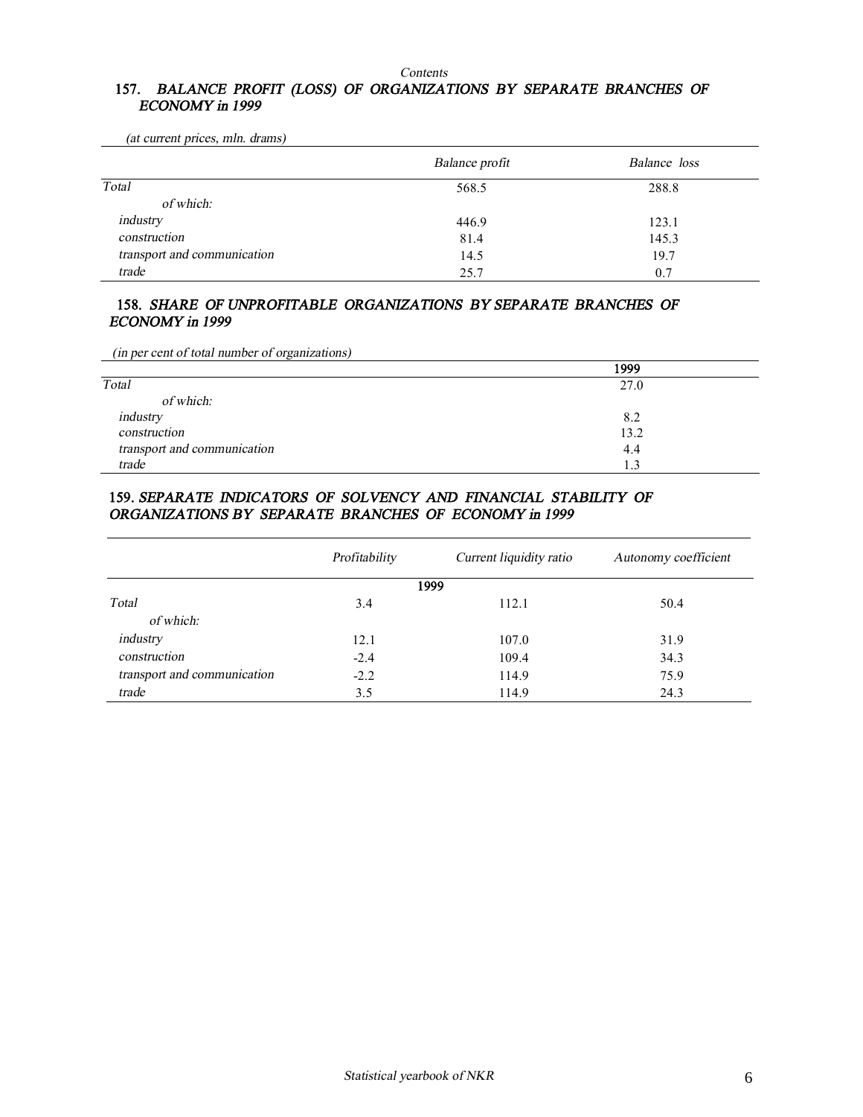#### *Contents*

## **157.** *BALANCE PROFIT (LOSS) OF ORGANIZATIONS BY SEPARATE BRANCHES OF ECONOMY in 1999*

*Balance profit Balance loss Total* 568.5 288.8  *of which: industry* 446.9 123.1 *construction* 81.4 145.3 *transport and communication* 14.5 19.7

# *(at current prices, mln. drams)*

#### **158.** *SHARE OF UNPROFITABLE ORGANIZATIONS BY SEPARATE BRANCHES OF ECONOMY in 1999*

*trade* 25.7 0.7

*(in per cent of total number of organizations)* 

|                             | 1999 |
|-----------------------------|------|
| Total                       | 27.0 |
| of which:                   |      |
| industry                    | 8.2  |
| construction                | 13.2 |
| transport and communication | 4.4  |
| trade                       | 1.3  |

## **159.** *SEPARATE INDICATORS OF SOLVENCY AND FINANCIAL STABILITY OF ORGANIZATIONS BY SEPARATE BRANCHES OF ECONOMY in 1999*

|                             | Profitability | Current liquidity ratio | Autonomy coefficient |
|-----------------------------|---------------|-------------------------|----------------------|
|                             |               | 1999                    |                      |
| Total                       | 3.4           | 112.1                   | 50.4                 |
| of which:                   |               |                         |                      |
| industry                    | 12.1          | 107.0                   | 31.9                 |
| construction                | $-2.4$        | 109.4                   | 34.3                 |
| transport and communication | $-2.2$        | 114.9                   | 75.9                 |
| trade                       | 3.5           | 114.9                   | 24.3                 |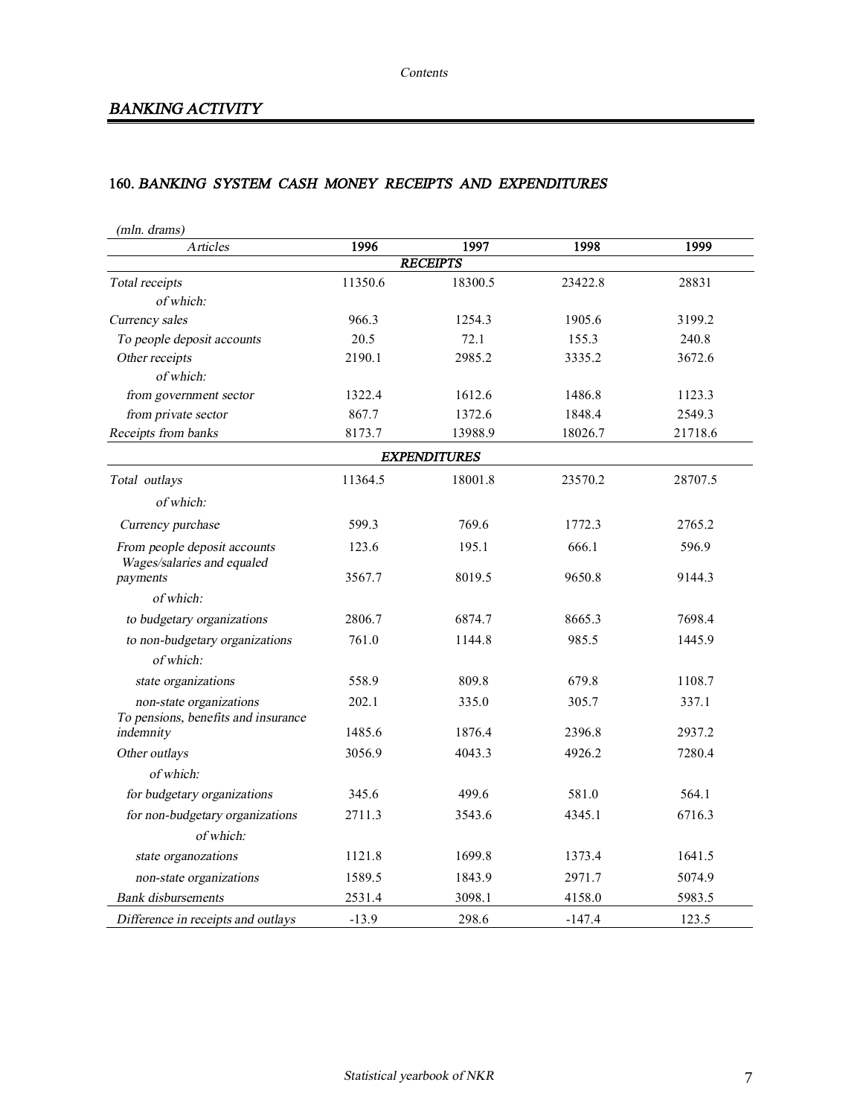# *BANKING ACTIVITY*

# **160.** *BANKING SYSTEM CASH MONEY RECEIPTS AND EXPENDITURES*

| <i>Articles</i>                                                | 1996    | 1997                | 1998     | 1999    |
|----------------------------------------------------------------|---------|---------------------|----------|---------|
|                                                                |         | <b>RECEIPTS</b>     |          |         |
| Total receipts                                                 | 11350.6 | 18300.5             | 23422.8  | 28831   |
| of which:                                                      |         |                     |          |         |
| Currency sales                                                 | 966.3   | 1254.3              | 1905.6   | 3199.2  |
| To people deposit accounts                                     | 20.5    | 72.1                | 155.3    | 240.8   |
| Other receipts                                                 | 2190.1  | 2985.2              | 3335.2   | 3672.6  |
| of which:                                                      |         |                     |          |         |
| from government sector                                         | 1322.4  | 1612.6              | 1486.8   | 1123.3  |
| from private sector                                            | 867.7   | 1372.6              | 1848.4   | 2549.3  |
| Receipts from banks                                            | 8173.7  | 13988.9             | 18026.7  | 21718.6 |
|                                                                |         | <b>EXPENDITURES</b> |          |         |
| Total outlays                                                  | 11364.5 | 18001.8             | 23570.2  | 28707.5 |
| of which:                                                      |         |                     |          |         |
| Currency purchase                                              | 599.3   | 769.6               | 1772.3   | 2765.2  |
| From people deposit accounts<br>Wages/salaries and equaled     | 123.6   | 195.1               | 666.1    | 596.9   |
| payments                                                       | 3567.7  | 8019.5              | 9650.8   | 9144.3  |
| of which:                                                      |         |                     |          |         |
| to budgetary organizations                                     | 2806.7  | 6874.7              | 8665.3   | 7698.4  |
| to non-budgetary organizations                                 | 761.0   | 1144.8              | 985.5    | 1445.9  |
| of which:                                                      |         |                     |          |         |
| state organizations                                            | 558.9   | 809.8               | 679.8    | 1108.7  |
| non-state organizations<br>To pensions, benefits and insurance | 202.1   | 335.0               | 305.7    | 337.1   |
| indemnity                                                      | 1485.6  | 1876.4              | 2396.8   | 2937.2  |
| Other outlays                                                  | 3056.9  | 4043.3              | 4926.2   | 7280.4  |
| of which:                                                      |         |                     |          |         |
| for budgetary organizations                                    | 345.6   | 499.6               | 581.0    | 564.1   |
| for non-budgetary organizations                                | 2711.3  | 3543.6              | 4345.1   | 6716.3  |
| of which:                                                      |         |                     |          |         |
| state organozations                                            | 1121.8  | 1699.8              | 1373.4   | 1641.5  |
| non-state organizations                                        | 1589.5  | 1843.9              | 2971.7   | 5074.9  |
| <b>Bank</b> disbursements                                      | 2531.4  | 3098.1              | 4158.0   | 5983.5  |
| Difference in receipts and outlays                             | $-13.9$ | 298.6               | $-147.4$ | 123.5   |